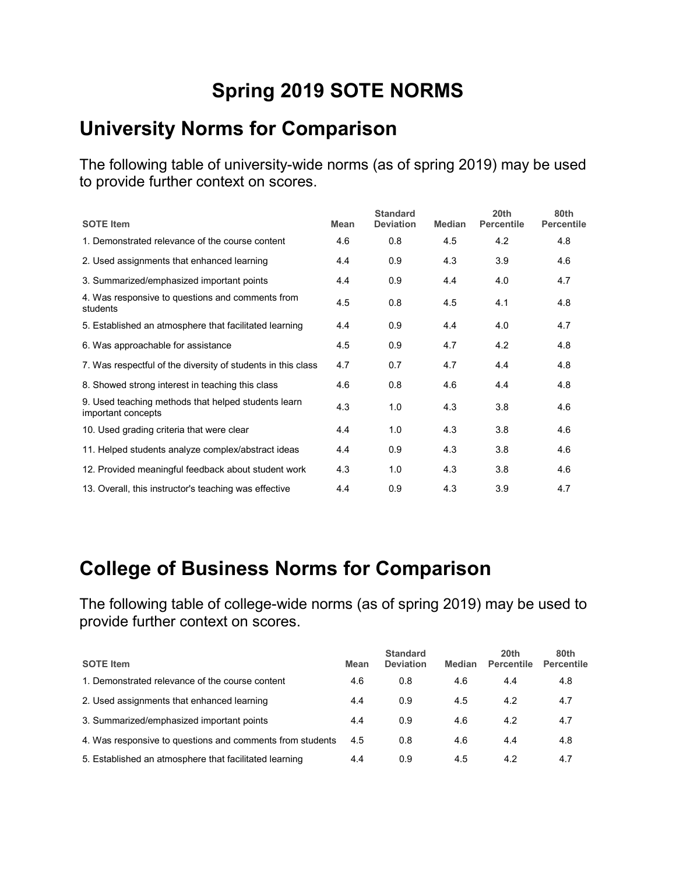# **Spring 2019 SOTE NORMS**

#### **University Norms for Comparison**

The following table of university-wide norms (as of spring 2019) may be used to provide further context on scores.

| <b>SOTE Item</b>                                                          | <b>Mean</b> | <b>Standard</b><br><b>Deviation</b> | <b>Median</b> | 20 <sub>th</sub><br><b>Percentile</b> | 80th<br><b>Percentile</b> |
|---------------------------------------------------------------------------|-------------|-------------------------------------|---------------|---------------------------------------|---------------------------|
| 1. Demonstrated relevance of the course content                           | 4.6         | 0.8                                 | 4.5           | 4.2                                   | 4.8                       |
| 2. Used assignments that enhanced learning                                | 4.4         | 0.9                                 | 4.3           | 3.9                                   | 4.6                       |
| 3. Summarized/emphasized important points                                 | 4.4         | 0.9                                 | 4.4           | 4.0                                   | 4.7                       |
| 4. Was responsive to questions and comments from<br>students              | 4.5         | 0.8                                 | 4.5           | 4.1                                   | 4.8                       |
| 5. Established an atmosphere that facilitated learning                    | 4.4         | 0.9                                 | 4.4           | 4.0                                   | 4.7                       |
| 6. Was approachable for assistance                                        | 4.5         | 0.9                                 | 4.7           | 4.2                                   | 4.8                       |
| 7. Was respectful of the diversity of students in this class              | 4.7         | 0.7                                 | 4.7           | 4.4                                   | 4.8                       |
| 8. Showed strong interest in teaching this class                          | 4.6         | 0.8                                 | 4.6           | 4.4                                   | 4.8                       |
| 9. Used teaching methods that helped students learn<br>important concepts | 4.3         | 1.0                                 | 4.3           | 3.8                                   | 4.6                       |
| 10. Used grading criteria that were clear                                 | 4.4         | 1.0                                 | 4.3           | 3.8                                   | 4.6                       |
| 11. Helped students analyze complex/abstract ideas                        | 4.4         | 0.9                                 | 4.3           | 3.8                                   | 4.6                       |
| 12. Provided meaningful feedback about student work                       | 4.3         | 1.0                                 | 4.3           | 3.8                                   | 4.6                       |
| 13. Overall, this instructor's teaching was effective                     | 4.4         | 0.9                                 | 4.3           | 3.9                                   | 4.7                       |

#### **College of Business Norms for Comparison**

| <b>SOTE Item</b>                                          | Mean | <b>Standard</b><br><b>Deviation</b> | <b>Median</b> | 20 <sub>th</sub><br><b>Percentile</b> | 80th<br><b>Percentile</b> |
|-----------------------------------------------------------|------|-------------------------------------|---------------|---------------------------------------|---------------------------|
| 1. Demonstrated relevance of the course content           | 4.6  | 0.8                                 | 4.6           | 4.4                                   | 4.8                       |
| 2. Used assignments that enhanced learning                | 4.4  | 0.9                                 | 4.5           | 4.2                                   | 4.7                       |
| 3. Summarized/emphasized important points                 | 4.4  | 0.9                                 | 4.6           | 4.2                                   | 4.7                       |
| 4. Was responsive to questions and comments from students | 4.5  | 0.8                                 | 4.6           | 4.4                                   | 4.8                       |
| 5. Established an atmosphere that facilitated learning    | 4.4  | 0.9                                 | 4.5           | 4.2                                   | 4.7                       |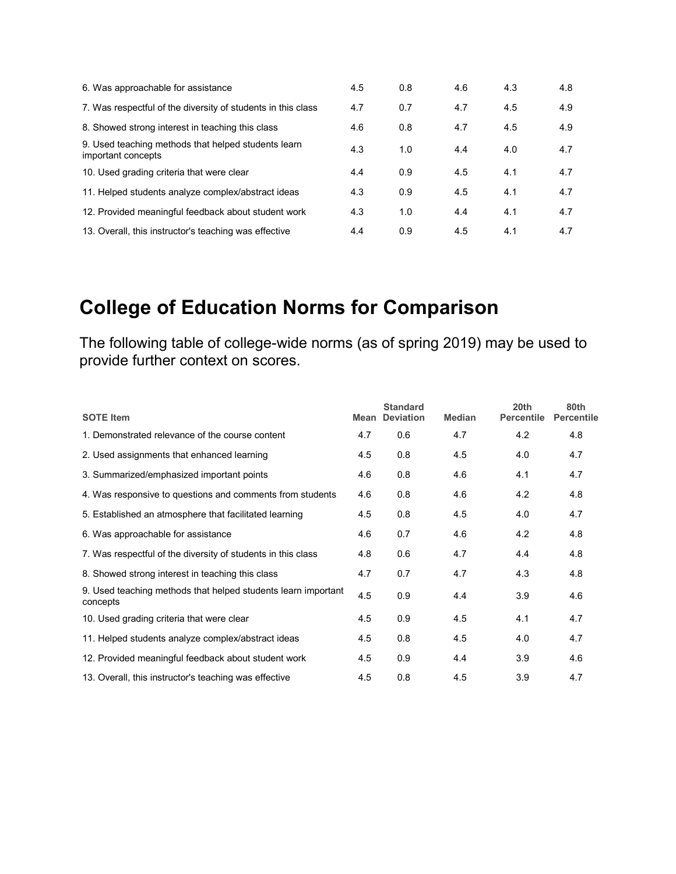| 6. Was approachable for assistance                                        | 4.5 | 0.8 | 4.6 | 4.3 | 4.8 |
|---------------------------------------------------------------------------|-----|-----|-----|-----|-----|
| 7. Was respectful of the diversity of students in this class              | 4.7 | 0.7 | 4.7 | 4.5 | 4.9 |
| 8. Showed strong interest in teaching this class                          | 4.6 | 0.8 | 4.7 | 4.5 | 4.9 |
| 9. Used teaching methods that helped students learn<br>important concepts | 4.3 | 1.0 | 4.4 | 4.0 | 4.7 |
| 10. Used grading criteria that were clear                                 | 4.4 | 0.9 | 4.5 | 4.1 | 4.7 |
| 11. Helped students analyze complex/abstract ideas                        | 4.3 | 0.9 | 4.5 | 4.1 | 4.7 |
| 12. Provided meaningful feedback about student work                       | 4.3 | 1.0 | 4.4 | 4.1 | 4.7 |
| 13. Overall, this instructor's teaching was effective                     | 4.4 | 0.9 | 4.5 | 4.1 | 4.7 |

# **College of Education Norms for Comparison**

| <b>SOTE Item</b>                                                          | Mean | <b>Standard</b><br><b>Deviation</b> | <b>Median</b> | 20th<br><b>Percentile</b> | 80th<br><b>Percentile</b> |
|---------------------------------------------------------------------------|------|-------------------------------------|---------------|---------------------------|---------------------------|
| 1. Demonstrated relevance of the course content                           | 4.7  | 0.6                                 | 4.7           | 4.2                       | 4.8                       |
| 2. Used assignments that enhanced learning                                | 4.5  | 0.8                                 | 4.5           | 4.0                       | 4.7                       |
| 3. Summarized/emphasized important points                                 | 4.6  | 0.8                                 | 4.6           | 4.1                       | 4.7                       |
| 4. Was responsive to questions and comments from students                 | 4.6  | 0.8                                 | 4.6           | 4.2                       | 4.8                       |
| 5. Established an atmosphere that facilitated learning                    | 4.5  | 0.8                                 | 4.5           | 4.0                       | 4.7                       |
| 6. Was approachable for assistance                                        | 4.6  | 0.7                                 | 4.6           | 4.2                       | 4.8                       |
| 7. Was respectful of the diversity of students in this class              | 4.8  | 0.6                                 | 4.7           | 4.4                       | 4.8                       |
| 8. Showed strong interest in teaching this class                          | 4.7  | 0.7                                 | 4.7           | 4.3                       | 4.8                       |
| 9. Used teaching methods that helped students learn important<br>concepts | 4.5  | 0.9                                 | 4.4           | 3.9                       | 4.6                       |
| 10. Used grading criteria that were clear                                 | 4.5  | 0.9                                 | 4.5           | 4.1                       | 4.7                       |
| 11. Helped students analyze complex/abstract ideas                        | 4.5  | 0.8                                 | 4.5           | 4.0                       | 4.7                       |
| 12. Provided meaningful feedback about student work                       | 4.5  | 0.9                                 | 4.4           | 3.9                       | 4.6                       |
| 13. Overall, this instructor's teaching was effective                     | 4.5  | 0.8                                 | 4.5           | 3.9                       | 4.7                       |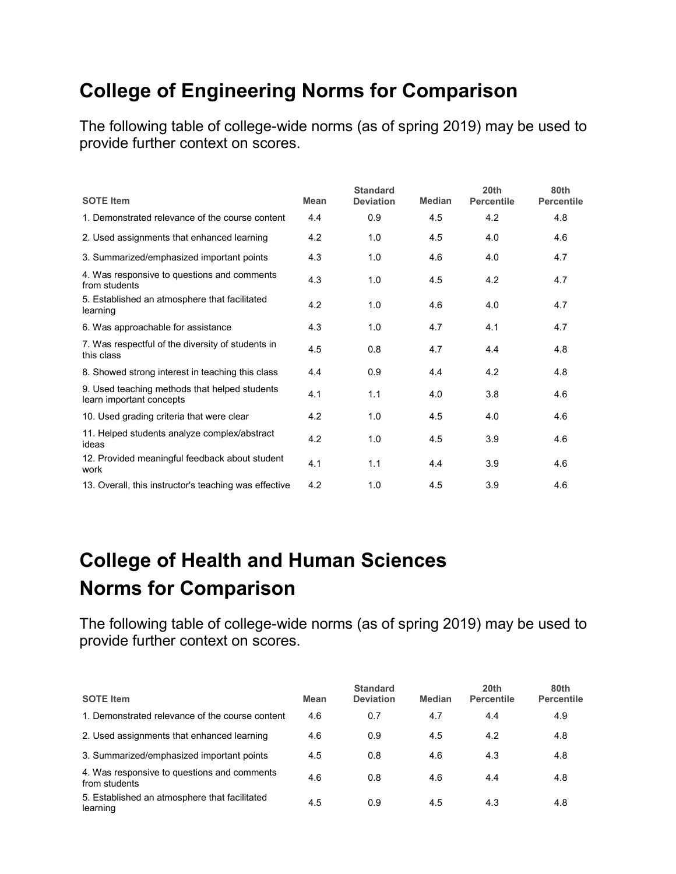## **College of Engineering Norms for Comparison**

The following table of college-wide norms (as of spring 2019) may be used to provide further context on scores.

| <b>SOTE Item</b>                                                          | Mean | <b>Standard</b><br><b>Deviation</b> | <b>Median</b> | 20 <sub>th</sub><br><b>Percentile</b> | 80th<br><b>Percentile</b> |
|---------------------------------------------------------------------------|------|-------------------------------------|---------------|---------------------------------------|---------------------------|
| 1. Demonstrated relevance of the course content                           | 4.4  | 0.9                                 | 4.5           | 4.2                                   | 4.8                       |
| 2. Used assignments that enhanced learning                                | 4.2  | 1.0                                 | 4.5           | 4.0                                   | 4.6                       |
| 3. Summarized/emphasized important points                                 | 4.3  | 1.0                                 | 4.6           | 4.0                                   | 4.7                       |
| 4. Was responsive to questions and comments<br>from students              | 4.3  | 1.0                                 | 4.5           | 4.2                                   | 4.7                       |
| 5. Established an atmosphere that facilitated<br>learning                 | 4.2  | 1.0                                 | 4.6           | 4.0                                   | 4.7                       |
| 6. Was approachable for assistance                                        | 4.3  | 1.0                                 | 4.7           | 4.1                                   | 4.7                       |
| 7. Was respectful of the diversity of students in<br>this class           | 4.5  | 0.8                                 | 4.7           | 4.4                                   | 4.8                       |
| 8. Showed strong interest in teaching this class                          | 4.4  | 0.9                                 | 4.4           | 4.2                                   | 4.8                       |
| 9. Used teaching methods that helped students<br>learn important concepts | 4.1  | 1.1                                 | 4.0           | 3.8                                   | 4.6                       |
| 10. Used grading criteria that were clear                                 | 4.2  | 1.0                                 | 4.5           | 4.0                                   | 4.6                       |
| 11. Helped students analyze complex/abstract<br>ideas                     | 4.2  | 1.0                                 | 4.5           | 3.9                                   | 4.6                       |
| 12. Provided meaningful feedback about student<br>work                    | 4.1  | 1.1                                 | 4.4           | 3.9                                   | 4.6                       |
| 13. Overall, this instructor's teaching was effective                     | 4.2  | 1.0                                 | 4.5           | 3.9                                   | 4.6                       |

# **College of Health and Human Sciences Norms for Comparison**

| <b>SOTE Item</b>                                             | Mean | <b>Standard</b><br><b>Deviation</b> | <b>Median</b> | 20th<br><b>Percentile</b> | 80th<br><b>Percentile</b> |
|--------------------------------------------------------------|------|-------------------------------------|---------------|---------------------------|---------------------------|
| 1. Demonstrated relevance of the course content              | 4.6  | 0.7                                 | 4.7           | 4.4                       | 4.9                       |
| 2. Used assignments that enhanced learning                   | 4.6  | 0.9                                 | 4.5           | 4.2                       | 4.8                       |
| 3. Summarized/emphasized important points                    | 4.5  | 0.8                                 | 4.6           | 4.3                       | 4.8                       |
| 4. Was responsive to questions and comments<br>from students | 4.6  | 0.8                                 | 4.6           | 4.4                       | 4.8                       |
| 5. Established an atmosphere that facilitated<br>learning    | 4.5  | 0.9                                 | 4.5           | 4.3                       | 4.8                       |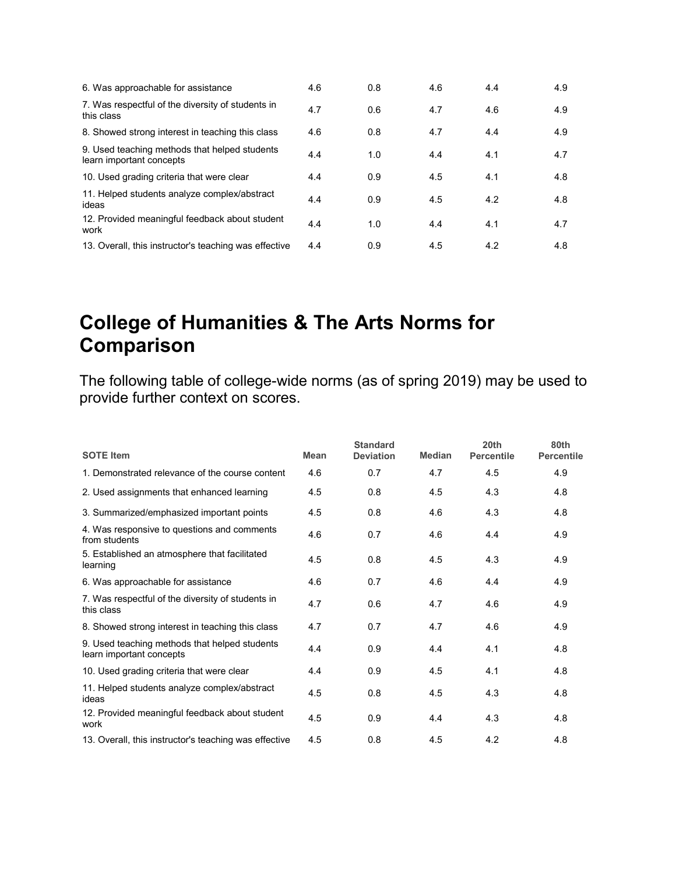| 6. Was approachable for assistance                                        | 4.6 | 0.8 | 4.6 | 4.4 | 4.9 |
|---------------------------------------------------------------------------|-----|-----|-----|-----|-----|
| 7. Was respectful of the diversity of students in<br>this class           | 4.7 | 0.6 | 4.7 | 4.6 | 4.9 |
| 8. Showed strong interest in teaching this class                          | 4.6 | 0.8 | 4.7 | 4.4 | 4.9 |
| 9. Used teaching methods that helped students<br>learn important concepts | 4.4 | 1.0 | 4.4 | 4.1 | 4.7 |
| 10. Used grading criteria that were clear                                 | 4.4 | 0.9 | 4.5 | 4.1 | 4.8 |
| 11. Helped students analyze complex/abstract<br>ideas                     | 4.4 | 0.9 | 4.5 | 4.2 | 4.8 |
| 12. Provided meaningful feedback about student<br>work                    | 4.4 | 1.0 | 4.4 | 4.1 | 4.7 |
| 13. Overall, this instructor's teaching was effective                     | 4.4 | 0.9 | 4.5 | 4.2 | 4.8 |

### **College of Humanities & The Arts Norms for Comparison**

| <b>SOTE Item</b>                                                          | <b>Mean</b> | <b>Standard</b><br><b>Deviation</b> | <b>Median</b> | 20 <sub>th</sub><br><b>Percentile</b> | 80th<br><b>Percentile</b> |
|---------------------------------------------------------------------------|-------------|-------------------------------------|---------------|---------------------------------------|---------------------------|
| 1. Demonstrated relevance of the course content                           | 4.6         | 0.7                                 | 4.7           | 4.5                                   | 4.9                       |
| 2. Used assignments that enhanced learning                                | 4.5         | 0.8                                 | 4.5           | 4.3                                   | 4.8                       |
| 3. Summarized/emphasized important points                                 | 4.5         | 0.8                                 | 4.6           | 4.3                                   | 4.8                       |
| 4. Was responsive to questions and comments<br>from students              | 4.6         | 0.7                                 | 4.6           | 4.4                                   | 4.9                       |
| 5. Established an atmosphere that facilitated<br>learning                 | 4.5         | 0.8                                 | 4.5           | 4.3                                   | 4.9                       |
| 6. Was approachable for assistance                                        | 4.6         | 0.7                                 | 4.6           | 4.4                                   | 4.9                       |
| 7. Was respectful of the diversity of students in<br>this class           | 4.7         | 0.6                                 | 4.7           | 4.6                                   | 4.9                       |
| 8. Showed strong interest in teaching this class                          | 4.7         | 0.7                                 | 4.7           | 4.6                                   | 4.9                       |
| 9. Used teaching methods that helped students<br>learn important concepts | 4.4         | 0.9                                 | 4.4           | 4.1                                   | 4.8                       |
| 10. Used grading criteria that were clear                                 | 4.4         | 0.9                                 | 4.5           | 4.1                                   | 4.8                       |
| 11. Helped students analyze complex/abstract<br>ideas                     | 4.5         | 0.8                                 | 4.5           | 4.3                                   | 4.8                       |
| 12. Provided meaningful feedback about student<br>work                    | 4.5         | 0.9                                 | 4.4           | 4.3                                   | 4.8                       |
| 13. Overall, this instructor's teaching was effective                     | 4.5         | 0.8                                 | 4.5           | 4.2                                   | 4.8                       |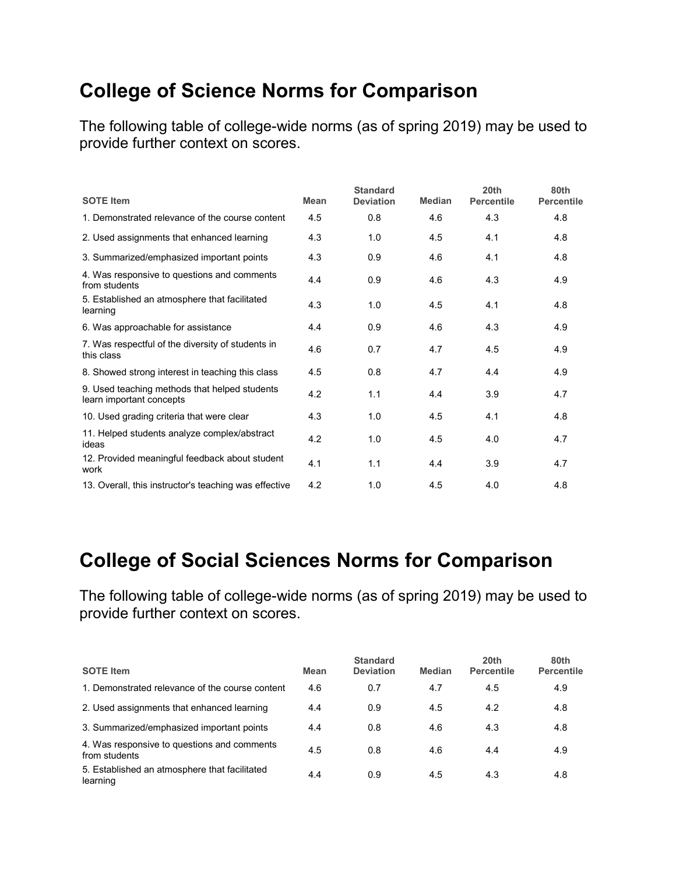## **College of Science Norms for Comparison**

The following table of college-wide norms (as of spring 2019) may be used to provide further context on scores.

| <b>SOTE Item</b>                                                          | Mean | <b>Standard</b><br><b>Deviation</b> | <b>Median</b> | 20 <sub>th</sub><br><b>Percentile</b> | 80th<br><b>Percentile</b> |
|---------------------------------------------------------------------------|------|-------------------------------------|---------------|---------------------------------------|---------------------------|
| 1. Demonstrated relevance of the course content                           | 4.5  | 0.8                                 | 4.6           | 4.3                                   | 4.8                       |
| 2. Used assignments that enhanced learning                                | 4.3  | 1.0                                 | 4.5           | 4.1                                   | 4.8                       |
| 3. Summarized/emphasized important points                                 | 4.3  | 0.9                                 | 4.6           | 4.1                                   | 4.8                       |
| 4. Was responsive to questions and comments<br>from students              | 4.4  | 0.9                                 | 4.6           | 4.3                                   | 4.9                       |
| 5. Established an atmosphere that facilitated<br>learning                 | 4.3  | 1.0                                 | 4.5           | 4.1                                   | 4.8                       |
| 6. Was approachable for assistance                                        | 4.4  | 0.9                                 | 4.6           | 4.3                                   | 4.9                       |
| 7. Was respectful of the diversity of students in<br>this class           | 4.6  | 0.7                                 | 4.7           | 4.5                                   | 4.9                       |
| 8. Showed strong interest in teaching this class                          | 4.5  | 0.8                                 | 4.7           | 4.4                                   | 4.9                       |
| 9. Used teaching methods that helped students<br>learn important concepts | 4.2  | 1.1                                 | 4.4           | 3.9                                   | 4.7                       |
| 10. Used grading criteria that were clear                                 | 4.3  | 1.0                                 | 4.5           | 4.1                                   | 4.8                       |
| 11. Helped students analyze complex/abstract<br>ideas                     | 4.2  | 1.0                                 | 4.5           | 4.0                                   | 4.7                       |
| 12. Provided meaningful feedback about student<br>work                    | 4.1  | 1.1                                 | 4.4           | 3.9                                   | 4.7                       |
| 13. Overall, this instructor's teaching was effective                     | 4.2  | 1.0                                 | 4.5           | 4.0                                   | 4.8                       |

### **College of Social Sciences Norms for Comparison**

| <b>SOTE Item</b>                                             | Mean | <b>Standard</b><br><b>Deviation</b> | <b>Median</b> | 20 <sub>th</sub><br><b>Percentile</b> | 80th<br><b>Percentile</b> |
|--------------------------------------------------------------|------|-------------------------------------|---------------|---------------------------------------|---------------------------|
| 1. Demonstrated relevance of the course content              | 4.6  | 0.7                                 | 4.7           | 4.5                                   | 4.9                       |
| 2. Used assignments that enhanced learning                   | 4.4  | 0.9                                 | 4.5           | 4.2                                   | 4.8                       |
| 3. Summarized/emphasized important points                    | 4.4  | 0.8                                 | 4.6           | 4.3                                   | 4.8                       |
| 4. Was responsive to questions and comments<br>from students | 4.5  | 0.8                                 | 4.6           | 4.4                                   | 4.9                       |
| 5. Established an atmosphere that facilitated<br>learning    | 4.4  | 0.9                                 | 4.5           | 4.3                                   | 4.8                       |